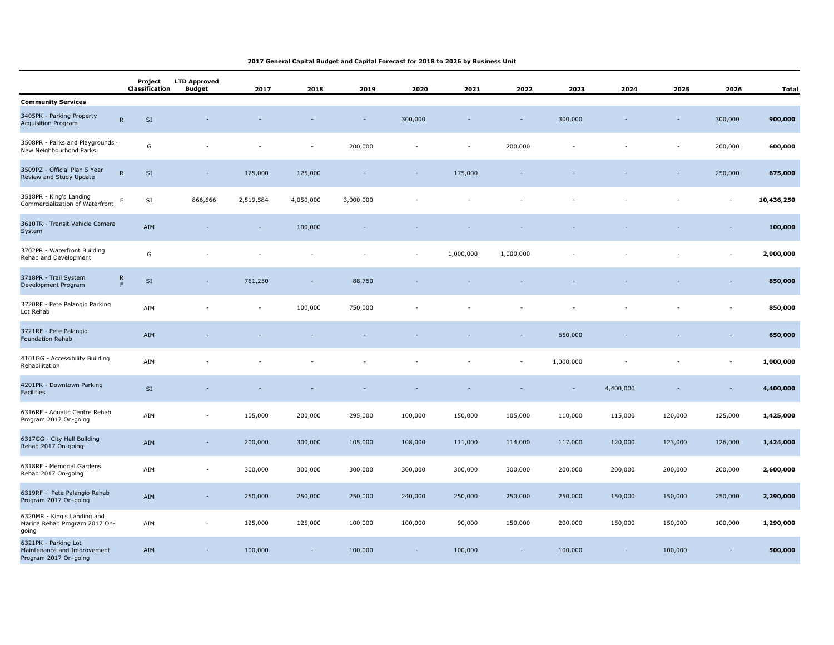## **2017 General Capital Budget and Capital Forecast for 2018 to 2026 by Business Unit**

|                                                                              | Project<br>Classification              | <b>LTD Approved</b><br><b>Budget</b> | 2017      | 2018      | 2019      | 2020    | 2021      | 2022                     | 2023      | 2024      | 2025    | 2026                         | Total      |
|------------------------------------------------------------------------------|----------------------------------------|--------------------------------------|-----------|-----------|-----------|---------|-----------|--------------------------|-----------|-----------|---------|------------------------------|------------|
| <b>Community Services</b>                                                    |                                        |                                      |           |           |           |         |           |                          |           |           |         |                              |            |
| 3405PK - Parking Property<br><b>Acquisition Program</b>                      | ${\sf R}$<br>SI                        |                                      |           |           |           | 300,000 |           | $\overline{\phantom{a}}$ | 300,000   |           |         | 300,000                      | 900,000    |
| 3508PR - Parks and Playgrounds -<br>New Neighbourhood Parks                  | ${\mathsf G}$                          |                                      |           |           | 200,000   |         | ÷,        | 200,000                  |           |           |         | 200,000                      | 600,000    |
| 3509PZ - Official Plan 5 Year<br>Review and Study Update                     | ${\sf R}$<br>$\mathsf{SI}\xspace$      |                                      | 125,000   | 125,000   |           |         | 175,000   |                          |           |           |         | 250,000                      | 675,000    |
| 3518PR - King's Landing<br>Commercialization of Waterfront                   | SI<br>F                                | 866,666                              | 2,519,584 | 4,050,000 | 3,000,000 |         |           |                          |           |           |         |                              | 10,436,250 |
| 3610TR - Transit Vehicle Camera<br>System                                    | AIM                                    |                                      |           | 100,000   |           |         |           |                          |           |           |         |                              | 100,000    |
| 3702PR - Waterfront Building<br>Rehab and Development                        | ${\mathsf G}$                          |                                      |           |           |           |         | 1,000,000 | 1,000,000                |           |           |         | $\qquad \qquad \blacksquare$ | 2,000,000  |
| 3718PR - Trail System<br>Development Program                                 | ${\sf R}$<br>$\mathsf{SI}\xspace$<br>F |                                      | 761,250   |           | 88,750    |         |           |                          |           |           |         |                              | 850,000    |
| 3720RF - Pete Palangio Parking<br>Lot Rehab                                  | AIM                                    |                                      |           | 100,000   | 750,000   |         |           |                          |           |           |         |                              | 850,000    |
| 3721RF - Pete Palangio<br><b>Foundation Rehab</b>                            | AIM                                    |                                      |           |           |           |         |           |                          | 650,000   |           |         |                              | 650,000    |
| 4101GG - Accessibility Building<br>Rehabilitation                            | AIM                                    |                                      |           |           |           |         |           | $\overline{a}$           | 1,000,000 |           |         | $\qquad \qquad \blacksquare$ | 1,000,000  |
| 4201PK - Downtown Parking<br>Facilities                                      | $\mathsf{SI}\,$                        |                                      |           |           |           |         |           |                          | $\sim$    | 4,400,000 |         | $\overline{\phantom{a}}$     | 4,400,000  |
| 6316RF - Aquatic Centre Rehab<br>Program 2017 On-going                       | AIM                                    |                                      | 105,000   | 200,000   | 295,000   | 100,000 | 150,000   | 105,000                  | 110,000   | 115,000   | 120,000 | 125,000                      | 1,425,000  |
| 6317GG - City Hall Building<br>Rehab 2017 On-going                           | AIM                                    | $\sim$                               | 200,000   | 300,000   | 105,000   | 108,000 | 111,000   | 114,000                  | 117,000   | 120,000   | 123,000 | 126,000                      | 1,424,000  |
| 6318RF - Memorial Gardens<br>Rehab 2017 On-going                             | AIM                                    |                                      | 300,000   | 300,000   | 300,000   | 300,000 | 300,000   | 300,000                  | 200,000   | 200,000   | 200,000 | 200,000                      | 2,600,000  |
| 6319RF - Pete Palangio Rehab<br>Program 2017 On-going                        | AIM                                    |                                      | 250,000   | 250,000   | 250,000   | 240,000 | 250,000   | 250,000                  | 250,000   | 150,000   | 150,000 | 250,000                      | 2,290,000  |
| 6320MR - King's Landing and<br>Marina Rehab Program 2017 On-<br>going        | AIM                                    |                                      | 125,000   | 125,000   | 100,000   | 100,000 | 90,000    | 150,000                  | 200,000   | 150,000   | 150,000 | 100,000                      | 1,290,000  |
| 6321PK - Parking Lot<br>Maintenance and Improvement<br>Program 2017 On-going | AIM                                    |                                      | 100,000   |           | 100,000   |         | 100,000   |                          | 100,000   |           | 100,000 |                              | 500,000    |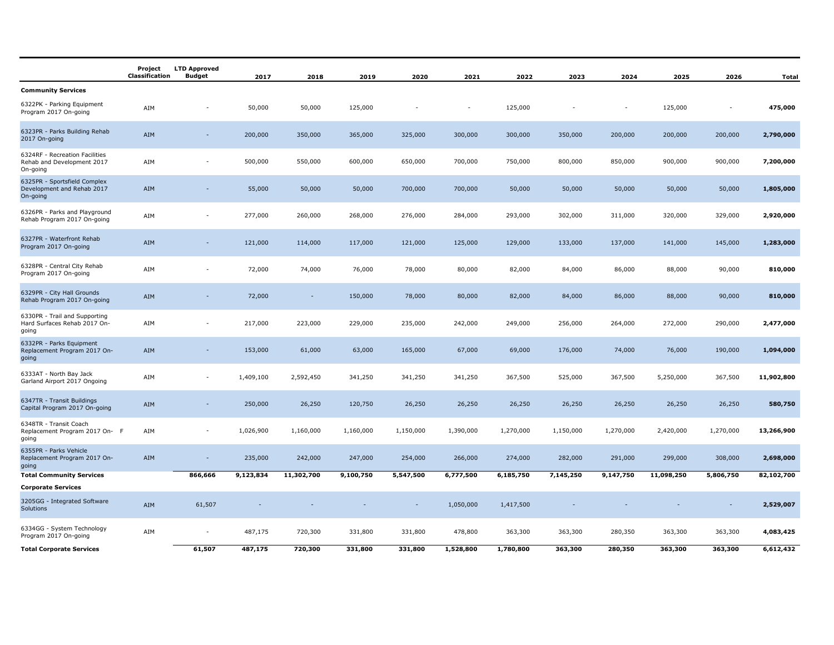|                                                                          | Project<br>Classification | <b>LTD Approved</b><br><b>Budget</b> | 2017      | 2018                     | 2019      | 2020                     | 2021           | 2022      | 2023           | 2024                     | 2025       | 2026                     | <b>Total</b> |
|--------------------------------------------------------------------------|---------------------------|--------------------------------------|-----------|--------------------------|-----------|--------------------------|----------------|-----------|----------------|--------------------------|------------|--------------------------|--------------|
| <b>Community Services</b>                                                |                           |                                      |           |                          |           |                          |                |           |                |                          |            |                          |              |
| 6322PK - Parking Equipment<br>Program 2017 On-going                      | AIM                       | $\overline{\phantom{a}}$             | 50,000    | 50,000                   | 125,000   | $\overline{\phantom{a}}$ | $\overline{a}$ | 125,000   | $\overline{a}$ | $\overline{\phantom{a}}$ | 125,000    | $\blacksquare$           | 475,000      |
| 6323PR - Parks Building Rehab<br>2017 On-going                           | AIM                       | ÷                                    | 200,000   | 350,000                  | 365,000   | 325,000                  | 300,000        | 300,000   | 350,000        | 200,000                  | 200,000    | 200,000                  | 2,790,000    |
| 6324RF - Recreation Facilities<br>Rehab and Development 2017<br>On-going | AIM                       | $\overline{\phantom{a}}$             | 500,000   | 550,000                  | 600,000   | 650,000                  | 700,000        | 750,000   | 800,000        | 850,000                  | 900,000    | 900,000                  | 7,200,000    |
| 6325PR - Sportsfield Complex<br>Development and Rehab 2017<br>On-going   | AIM                       | $\overline{\phantom{a}}$             | 55,000    | 50,000                   | 50,000    | 700,000                  | 700,000        | 50,000    | 50,000         | 50,000                   | 50,000     | 50,000                   | 1,805,000    |
| 6326PR - Parks and Playground<br>Rehab Program 2017 On-going             | AIM                       | $\overline{\phantom{a}}$             | 277,000   | 260,000                  | 268,000   | 276,000                  | 284,000        | 293,000   | 302,000        | 311,000                  | 320,000    | 329,000                  | 2,920,000    |
| 6327PR - Waterfront Rehab<br>Program 2017 On-going                       | AIM                       | ÷.                                   | 121,000   | 114,000                  | 117,000   | 121,000                  | 125,000        | 129,000   | 133,000        | 137,000                  | 141,000    | 145,000                  | 1,283,000    |
| 6328PR - Central City Rehab<br>Program 2017 On-going                     | AIM                       |                                      | 72,000    | 74,000                   | 76,000    | 78,000                   | 80,000         | 82,000    | 84,000         | 86,000                   | 88,000     | 90,000                   | 810,000      |
| 6329PR - City Hall Grounds<br>Rehab Program 2017 On-going                | AIM                       |                                      | 72,000    | $\overline{\phantom{a}}$ | 150,000   | 78,000                   | 80,000         | 82,000    | 84,000         | 86,000                   | 88,000     | 90,000                   | 810,000      |
| 6330PR - Trail and Supporting<br>Hard Surfaces Rehab 2017 On-<br>going   | AIM                       | ۰                                    | 217,000   | 223,000                  | 229,000   | 235,000                  | 242,000        | 249,000   | 256,000        | 264,000                  | 272,000    | 290,000                  | 2,477,000    |
| 6332PR - Parks Equipment<br>Replacement Program 2017 On-<br>going        | AIM                       |                                      | 153,000   | 61,000                   | 63,000    | 165,000                  | 67,000         | 69,000    | 176,000        | 74,000                   | 76,000     | 190,000                  | 1,094,000    |
| 6333AT - North Bay Jack<br>Garland Airport 2017 Ongoing                  | AIM                       |                                      | 1,409,100 | 2,592,450                | 341,250   | 341,250                  | 341,250        | 367,500   | 525,000        | 367,500                  | 5,250,000  | 367,500                  | 11,902,800   |
| 6347TR - Transit Buildings<br>Capital Program 2017 On-going              | AIM                       | $\overline{\phantom{a}}$             | 250,000   | 26,250                   | 120,750   | 26,250                   | 26,250         | 26,250    | 26,250         | 26,250                   | 26,250     | 26,250                   | 580,750      |
| 6348TR - Transit Coach<br>Replacement Program 2017 On- F<br>going        | AIM                       | $\overline{\phantom{a}}$             | 1,026,900 | 1,160,000                | 1,160,000 | 1,150,000                | 1,390,000      | 1,270,000 | 1,150,000      | 1,270,000                | 2,420,000  | 1,270,000                | 13,266,900   |
| 6355PR - Parks Vehicle<br>Replacement Program 2017 On-<br>going          | AIM                       | $\overline{\phantom{a}}$             | 235,000   | 242,000                  | 247,000   | 254,000                  | 266,000        | 274,000   | 282,000        | 291,000                  | 299,000    | 308,000                  | 2,698,000    |
| <b>Total Community Services</b>                                          |                           | 866,666                              | 9,123,834 | 11,302,700               | 9,100,750 | 5,547,500                | 6,777,500      | 6,185,750 | 7,145,250      | 9,147,750                | 11,098,250 | 5,806,750                | 82,102,700   |
| <b>Corporate Services</b>                                                |                           |                                      |           |                          |           |                          |                |           |                |                          |            |                          |              |
| 3205GG - Integrated Software<br>Solutions                                | AIM                       | 61,507                               |           |                          |           | $\overline{\phantom{a}}$ | 1,050,000      | 1,417,500 |                |                          |            | $\overline{\phantom{a}}$ | 2,529,007    |
| 6334GG - System Technology<br>Program 2017 On-going                      | AIM                       | $\overline{\phantom{a}}$             | 487,175   | 720,300                  | 331,800   | 331,800                  | 478,800        | 363,300   | 363,300        | 280,350                  | 363,300    | 363,300                  | 4,083,425    |
| <b>Total Corporate Services</b>                                          |                           | 61,507                               | 487,175   | 720,300                  | 331,800   | 331,800                  | 1,528,800      | 1,780,800 | 363,300        | 280,350                  | 363,300    | 363,300                  | 6,612,432    |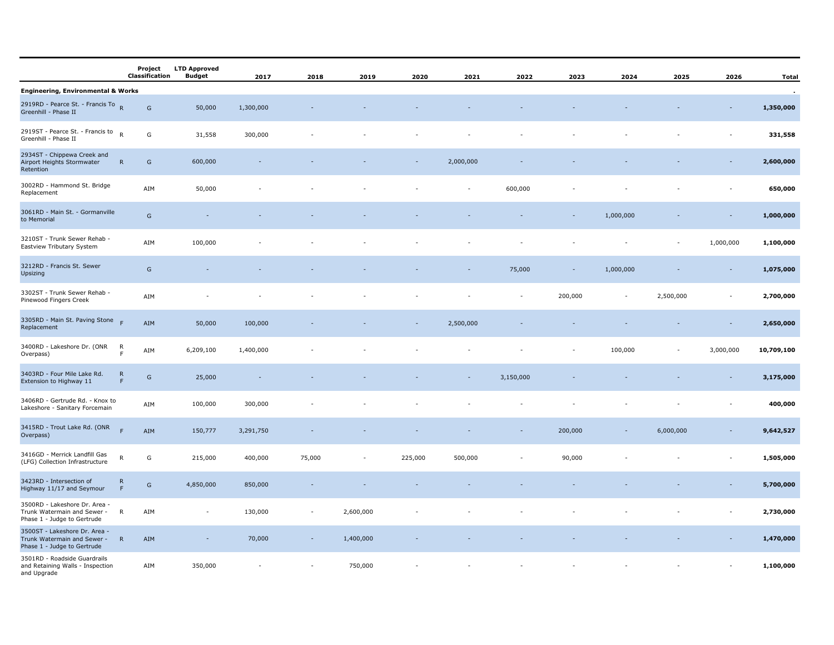|                                                                                               | Project<br>Classification                    | <b>LTD Approved</b><br><b>Budget</b> | 2017      | 2018                     | 2019      | 2020    | 2021      | 2022                     | 2023    | 2024                     | 2025      | 2026                     | <b>Total</b> |
|-----------------------------------------------------------------------------------------------|----------------------------------------------|--------------------------------------|-----------|--------------------------|-----------|---------|-----------|--------------------------|---------|--------------------------|-----------|--------------------------|--------------|
| <b>Engineering, Environmental &amp; Works</b>                                                 |                                              |                                      |           |                          |           |         |           |                          |         |                          |           |                          | $\sim$       |
| 2919RD - Pearce St. - Francis To R<br>Greenhill - Phase II                                    | ${\mathsf G}$                                | 50,000                               | 1,300,000 |                          |           |         |           |                          |         |                          |           |                          | 1,350,000    |
| 2919ST - Pearce St. - Francis to<br>Greenhill - Phase II                                      | $\mathsf{R}$<br>${\mathsf G}$                | 31,558                               | 300,000   |                          |           |         |           |                          |         |                          |           |                          | 331,558      |
| 2934ST - Chippewa Creek and<br>Airport Heights Stormwater<br>Retention                        | G<br>$\mathsf{R}$                            | 600,000                              |           |                          |           | ÷       | 2,000,000 |                          |         |                          |           |                          | 2,600,000    |
| 3002RD - Hammond St. Bridge<br>Replacement                                                    | AIM                                          | 50,000                               |           |                          |           |         |           | 600,000                  |         |                          |           |                          | 650,000      |
| 3061RD - Main St. - Gormanville<br>to Memorial                                                | ${\mathsf G}$                                |                                      |           |                          |           |         |           |                          |         | 1,000,000                |           |                          | 1,000,000    |
| 3210ST - Trunk Sewer Rehab -<br>Eastview Tributary System                                     | AIM                                          | 100,000                              |           |                          |           |         |           |                          |         |                          |           | 1,000,000                | 1,100,000    |
| 3212RD - Francis St. Sewer<br>Upsizing                                                        | ${\mathsf G}$                                |                                      |           |                          |           |         |           | 75,000                   |         | 1,000,000                |           |                          | 1,075,000    |
| 3302ST - Trunk Sewer Rehab -<br>Pinewood Fingers Creek                                        | AIM                                          |                                      |           |                          |           |         |           | $\overline{\phantom{a}}$ | 200,000 | $\overline{\phantom{a}}$ | 2,500,000 | $\overline{\phantom{a}}$ | 2,700,000    |
| 3305RD - Main St. Paving Stone<br>Replacement                                                 | AIM                                          | 50,000                               | 100,000   |                          |           |         | 2,500,000 |                          |         |                          |           |                          | 2,650,000    |
| 3400RD - Lakeshore Dr. (ONR<br>Overpass)                                                      | R<br>AIM<br>F                                | 6,209,100                            | 1,400,000 |                          |           |         |           |                          |         | 100,000                  |           | 3,000,000                | 10,709,100   |
| 3403RD - Four Mile Lake Rd.<br>Extension to Highway 11                                        | $\mathsf{R}$<br>${\mathsf G}$<br>F           | 25,000                               |           |                          |           |         |           | 3,150,000                |         |                          |           |                          | 3,175,000    |
| 3406RD - Gertrude Rd. - Knox to<br>Lakeshore - Sanitary Forcemain                             | AIM                                          | 100,000                              | 300,000   |                          |           |         |           |                          |         |                          |           |                          | 400,000      |
| 3415RD - Trout Lake Rd. (ONR<br>Overpass)                                                     | F<br>AIM                                     | 150,777                              | 3,291,750 |                          |           |         |           |                          | 200,000 |                          | 6,000,000 |                          | 9,642,527    |
| 3416GD - Merrick Landfill Gas<br>(LFG) Collection Infrastructure                              | ${\sf R}$<br>G                               | 215,000                              | 400,000   | 75,000                   |           | 225,000 | 500,000   |                          | 90,000  |                          |           |                          | 1,505,000    |
| 3423RD - Intersection of<br>Highway 11/17 and Seymour                                         | $\mathsf{R}$<br>${\mathsf G}$<br>$\mathsf F$ | 4,850,000                            | 850,000   |                          |           |         |           |                          |         |                          |           |                          | 5,700,000    |
| 3500RD - Lakeshore Dr. Area -<br>Trunk Watermain and Sewer - R<br>Phase 1 - Judge to Gertrude | AIM                                          | $\overline{\phantom{a}}$             | 130,000   | $\overline{\phantom{a}}$ | 2,600,000 |         |           |                          |         |                          |           |                          | 2,730,000    |
| 3500ST - Lakeshore Dr. Area -<br>Trunk Watermain and Sewer -<br>Phase 1 - Judge to Gertrude   | R<br>AIM                                     |                                      | 70,000    |                          | 1,400,000 |         |           |                          |         |                          |           |                          | 1,470,000    |
| 3501RD - Roadside Guardrails<br>and Retaining Walls - Inspection<br>and Upgrade               | AIM                                          | 350,000                              |           |                          | 750,000   |         |           |                          |         |                          |           |                          | 1,100,000    |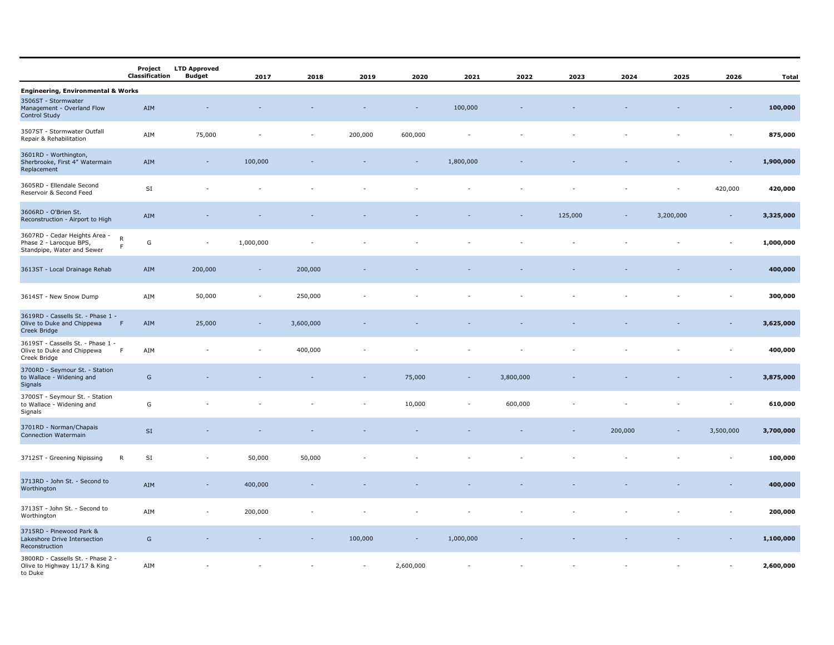|                                                                                        | Project<br>Classification     | <b>LTD Approved</b><br><b>Budget</b> | 2017      | 2018      | 2019                     | 2020      | 2021                     | 2022      | 2023    | 2024    | 2025      | 2026                     | <b>Total</b> |
|----------------------------------------------------------------------------------------|-------------------------------|--------------------------------------|-----------|-----------|--------------------------|-----------|--------------------------|-----------|---------|---------|-----------|--------------------------|--------------|
| <b>Engineering, Environmental &amp; Works</b>                                          |                               |                                      |           |           |                          |           |                          |           |         |         |           |                          |              |
| 3506ST - Stormwater<br>Management - Overland Flow<br>Control Study                     | AIM                           |                                      |           |           |                          |           | 100,000                  |           |         |         |           |                          | 100,000      |
| 3507ST - Stormwater Outfall<br>Repair & Rehabilitation                                 | AIM                           | 75,000                               |           | ÷         | 200,000                  | 600,000   |                          |           |         |         |           |                          | 875,000      |
| 3601RD - Worthington,<br>Sherbrooke, First 4" Watermain<br>Replacement                 | AIM                           | $\overline{\phantom{a}}$             | 100,000   |           |                          |           | 1,800,000                |           |         |         |           |                          | 1,900,000    |
| 3605RD - Ellendale Second<br>Reservoir & Second Feed                                   | SI                            |                                      |           |           |                          |           |                          |           |         |         |           | 420,000                  | 420,000      |
| 3606RD - O'Brien St.<br>Reconstruction - Airport to High                               | AIM                           |                                      |           |           |                          |           |                          |           | 125,000 | $\sim$  | 3,200,000 | $\sim$                   | 3,325,000    |
| 3607RD - Cedar Heights Area -<br>Phase 2 - Larocque BPS,<br>Standpipe, Water and Sewer | ${\sf R}$<br>G<br>$\mathsf F$ | $\overline{\phantom{a}}$             | 1,000,000 |           |                          |           |                          |           |         |         |           | $\overline{\phantom{a}}$ | 1,000,000    |
| 3613ST - Local Drainage Rehab                                                          | AIM                           | 200,000                              | $\sim$    | 200,000   |                          |           |                          |           |         |         |           |                          | 400,000      |
| 3614ST - New Snow Dump                                                                 | AIM                           | 50,000                               |           | 250,000   |                          |           |                          |           |         |         |           |                          | 300,000      |
| 3619RD - Cassells St. - Phase 1 -<br>Olive to Duke and Chippewa<br>Creek Bridge        | F<br>AIM                      | 25,000                               |           | 3,600,000 |                          |           |                          |           |         |         |           |                          | 3,625,000    |
| 3619ST - Cassells St. - Phase 1 -<br>Olive to Duke and Chippewa<br>Creek Bridge        | AIM<br>$\mathsf F$            |                                      |           | 400,000   |                          |           |                          |           |         |         |           |                          | 400,000      |
| 3700RD - Seymour St. - Station<br>to Wallace - Widening and<br>Signals                 | G                             |                                      |           |           |                          | 75,000    | $\overline{\phantom{a}}$ | 3,800,000 |         |         |           |                          | 3,875,000    |
| 3700ST - Seymour St. - Station<br>to Wallace - Widening and<br>Signals                 | G                             |                                      |           |           |                          | 10,000    |                          | 600,000   |         |         |           |                          | 610,000      |
| 3701RD - Norman/Chapais<br><b>Connection Watermain</b>                                 | $\mathsf{SI}\xspace$          |                                      |           |           |                          |           |                          |           |         | 200,000 |           | 3,500,000                | 3,700,000    |
| 3712ST - Greening Nipissing                                                            | $\mathsf{SI}$<br>$\mathsf{R}$ |                                      | 50,000    | 50,000    |                          |           |                          |           |         |         |           |                          | 100,000      |
| 3713RD - John St. - Second to<br>Worthington                                           | AIM                           |                                      | 400,000   |           |                          |           |                          |           |         |         |           |                          | 400,000      |
| 3713ST - John St. - Second to<br>Worthington                                           | AIM                           |                                      | 200,000   |           |                          |           |                          |           |         |         |           |                          | 200,000      |
| 3715RD - Pinewood Park &<br>Lakeshore Drive Intersection<br>Reconstruction             | G                             |                                      |           |           | 100,000                  |           | 1,000,000                |           |         |         |           |                          | 1,100,000    |
| 3800RD - Cassells St. - Phase 2 -<br>Olive to Highway 11/17 & King<br>to Duke          | AIM                           |                                      |           |           | $\overline{\phantom{a}}$ | 2,600,000 |                          |           |         |         |           |                          | 2,600,000    |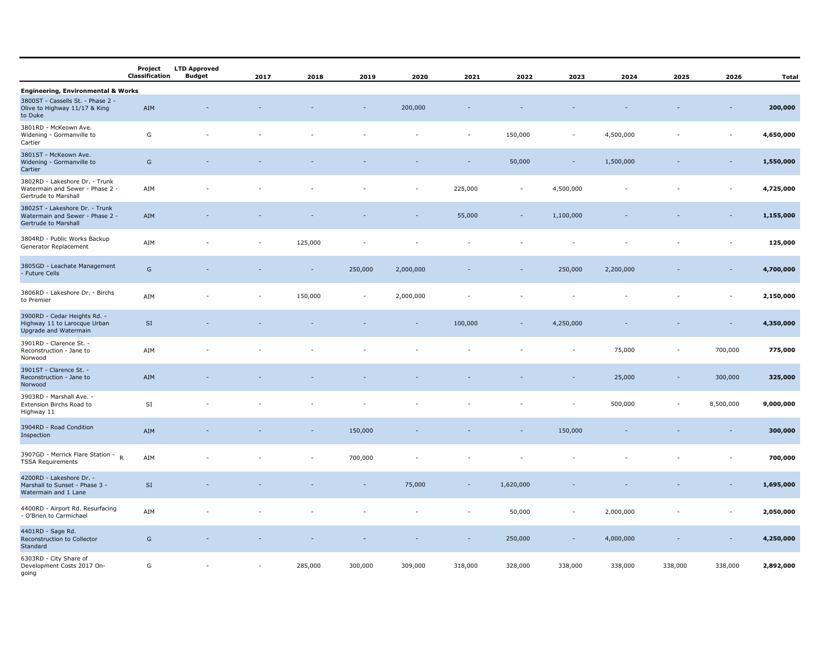|                                                                                           | Project<br>Classification | <b>LTD Approved</b><br><b>Budget</b> | 2017 | 2018    | 2019           | 2020      | 2021    | 2022                     | 2023                     | 2024      | 2025    | 2026                     | <b>Total</b> |
|-------------------------------------------------------------------------------------------|---------------------------|--------------------------------------|------|---------|----------------|-----------|---------|--------------------------|--------------------------|-----------|---------|--------------------------|--------------|
| <b>Engineering, Environmental &amp; Works</b>                                             |                           |                                      |      |         |                |           |         |                          |                          |           |         |                          |              |
| 3800ST - Cassells St. - Phase 2 -<br>Olive to Highway 11/17 & King<br>to Duke             | AIM                       |                                      |      |         |                | 200,000   |         |                          |                          |           |         |                          | 200,000      |
| 3801RD - McKeown Ave.<br>Widening - Gormanville to<br>Cartier                             | G                         |                                      |      |         |                |           | ÷,      | 150,000                  | $\sim$                   | 4,500,000 |         | ٠                        | 4,650,000    |
| 3801ST - McKeown Ave.<br>Widening - Gormanville to<br>Cartier                             | ${\mathsf G}$             |                                      |      |         |                |           |         | 50,000                   | $\overline{\phantom{a}}$ | 1,500,000 |         | $\overline{\phantom{a}}$ | 1,550,000    |
| 3802RD - Lakeshore Dr. - Trunk<br>Watermain and Sewer - Phase 2 -<br>Gertrude to Marshall | AIM                       |                                      |      |         |                |           | 225,000 | $\overline{\phantom{a}}$ | 4,500,000                |           |         | ٠                        | 4,725,000    |
| 3802ST - Lakeshore Dr. - Trunk<br>Watermain and Sewer - Phase 2 -<br>Gertrude to Marshall | AIM                       |                                      |      |         |                |           | 55,000  | $\overline{\phantom{a}}$ | 1,100,000                |           |         |                          | 1,155,000    |
| 3804RD - Public Works Backup<br>Generator Replacement                                     | AIM                       |                                      |      | 125,000 |                |           |         |                          |                          |           |         |                          | 125,000      |
| 3805GD - Leachate Management<br>- Future Cells                                            | G                         |                                      |      | $\sim$  | 250,000        | 2,000,000 |         | $\overline{\phantom{a}}$ | 250,000                  | 2,200,000 |         | $\overline{\phantom{a}}$ | 4,700,000    |
| 3806RD - Lakeshore Dr. - Birchs<br>to Premier                                             | AIM                       |                                      |      | 150,000 | $\overline{a}$ | 2,000,000 |         |                          |                          |           |         |                          | 2,150,000    |
| 3900RD - Cedar Heights Rd. -<br>Highway 11 to Larocque Urban<br>Upgrade and Watermain     | $\mathsf{SI}$             |                                      |      |         |                |           | 100,000 | ۰                        | 4,250,000                |           |         |                          | 4,350,000    |
| 3901RD - Clarence St. -<br>Reconstruction - Jane to<br>Norwood                            | AIM                       |                                      |      |         |                |           |         |                          |                          | 75,000    |         | 700,000                  | 775,000      |
| 3901ST - Clarence St. -<br>Reconstruction - Jane to<br>Norwood                            | AIM                       |                                      |      |         |                |           |         |                          |                          | 25,000    |         | 300,000                  | 325,000      |
| 3903RD - Marshall Ave. -<br>Extension Birchs Road to<br>Highway 11                        | SI                        |                                      |      |         |                |           |         |                          |                          | 500,000   |         | 8,500,000                | 9,000,000    |
| 3904RD - Road Condition<br>Inspection                                                     | AIM                       |                                      |      |         | 150,000        |           |         |                          | 150,000                  |           |         |                          | 300,000      |
| 3907GD - Merrick Flare Station -<br>$\mathsf{R}$<br><b>TSSA Requirements</b>              | AIM                       |                                      |      |         | 700,000        |           |         |                          |                          |           |         |                          | 700,000      |
| 4200RD - Lakeshore Dr. -<br>Marshall to Sunset - Phase 3 -<br>Watermain and 1 Lane        | SI                        |                                      |      |         |                | 75,000    |         | 1,620,000                |                          |           |         |                          | 1,695,000    |
| 4400RD - Airport Rd. Resurfacing<br>- O'Brien to Carmichael                               | AIM                       |                                      |      |         |                |           |         | 50,000                   |                          | 2,000,000 |         |                          | 2,050,000    |
| 4401RD - Sage Rd.<br>Reconstruction to Collector<br>Standard                              | G                         |                                      |      |         |                |           |         | 250,000                  |                          | 4,000,000 |         |                          | 4,250,000    |
| 6303RD - City Share of<br>Development Costs 2017 On-<br>aoina                             | G                         |                                      |      | 285,000 | 300,000        | 309,000   | 318,000 | 328,000                  | 338,000                  | 338,000   | 338,000 | 338,000                  | 2,892,000    |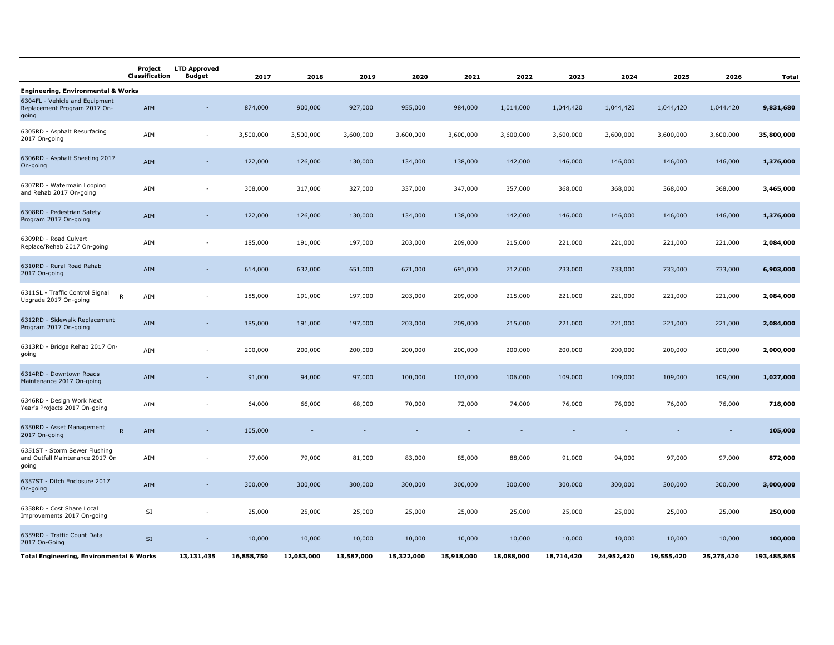|                                                                            | Project<br>Classification | <b>LTD Approved</b><br><b>Budget</b> | 2017       | 2018       | 2019       | 2020       | 2021       | 2022       | 2023       | 2024       | 2025       | 2026       | <b>Total</b> |
|----------------------------------------------------------------------------|---------------------------|--------------------------------------|------------|------------|------------|------------|------------|------------|------------|------------|------------|------------|--------------|
| <b>Engineering, Environmental &amp; Works</b>                              |                           |                                      |            |            |            |            |            |            |            |            |            |            |              |
| 6304FL - Vehicle and Equipment<br>Replacement Program 2017 On-<br>going    | AIM                       |                                      | 874,000    | 900,000    | 927,000    | 955,000    | 984,000    | 1,014,000  | 1,044,420  | 1,044,420  | 1,044,420  | 1,044,420  | 9,831,680    |
| 6305RD - Asphalt Resurfacing<br>2017 On-going                              | AIM                       | $\blacksquare$                       | 3,500,000  | 3,500,000  | 3,600,000  | 3,600,000  | 3,600,000  | 3,600,000  | 3,600,000  | 3,600,000  | 3,600,000  | 3,600,000  | 35,800,000   |
| 6306RD - Asphalt Sheeting 2017<br>On-going                                 | AIM                       | $\overline{\phantom{a}}$             | 122,000    | 126,000    | 130,000    | 134,000    | 138,000    | 142,000    | 146,000    | 146,000    | 146,000    | 146,000    | 1,376,000    |
| 6307RD - Watermain Looping<br>and Rehab 2017 On-going                      | AIM                       | $\overline{\phantom{a}}$             | 308,000    | 317,000    | 327,000    | 337,000    | 347,000    | 357,000    | 368,000    | 368,000    | 368,000    | 368,000    | 3,465,000    |
| 6308RD - Pedestrian Safety<br>Program 2017 On-going                        | AIM                       | $\overline{\phantom{a}}$             | 122,000    | 126,000    | 130,000    | 134,000    | 138,000    | 142,000    | 146,000    | 146,000    | 146,000    | 146,000    | 1,376,000    |
| 6309RD - Road Culvert<br>Replace/Rehab 2017 On-going                       | AIM                       | $\overline{\phantom{a}}$             | 185,000    | 191,000    | 197,000    | 203,000    | 209,000    | 215,000    | 221,000    | 221,000    | 221,000    | 221,000    | 2,084,000    |
| 6310RD - Rural Road Rehab<br>2017 On-going                                 | AIM                       | $\sim$                               | 614,000    | 632,000    | 651,000    | 671,000    | 691,000    | 712,000    | 733,000    | 733,000    | 733,000    | 733,000    | 6,903,000    |
| 6311SL - Traffic Control Signal<br>$\mathsf{R}$<br>Upgrade 2017 On-going   | AIM                       | ٠                                    | 185,000    | 191,000    | 197,000    | 203,000    | 209,000    | 215,000    | 221,000    | 221,000    | 221,000    | 221,000    | 2,084,000    |
| 6312RD - Sidewalk Replacement<br>Program 2017 On-going                     | AIM                       | $\sim$                               | 185,000    | 191,000    | 197,000    | 203,000    | 209,000    | 215,000    | 221,000    | 221,000    | 221,000    | 221,000    | 2,084,000    |
| 6313RD - Bridge Rehab 2017 On-<br>going                                    | AIM                       |                                      | 200,000    | 200,000    | 200,000    | 200,000    | 200,000    | 200,000    | 200,000    | 200,000    | 200,000    | 200,000    | 2,000,000    |
| 6314RD - Downtown Roads<br>Maintenance 2017 On-going                       | AIM                       | $\overline{\phantom{a}}$             | 91,000     | 94,000     | 97,000     | 100,000    | 103,000    | 106,000    | 109,000    | 109,000    | 109,000    | 109,000    | 1,027,000    |
| 6346RD - Design Work Next<br>Year's Projects 2017 On-going                 | AIM                       |                                      | 64,000     | 66,000     | 68,000     | 70,000     | 72,000     | 74,000     | 76,000     | 76,000     | 76,000     | 76,000     | 718,000      |
| 6350RD - Asset Management<br>$\mathsf{R}$<br>2017 On-going                 | AIM                       |                                      | 105,000    |            |            |            |            |            |            |            |            | $\sim$     | 105,000      |
| 6351ST - Storm Sewer Flushing<br>and Outfall Maintenance 2017 On-<br>going | AIM                       |                                      | 77,000     | 79,000     | 81,000     | 83,000     | 85,000     | 88,000     | 91,000     | 94,000     | 97,000     | 97,000     | 872,000      |
| 6357ST - Ditch Enclosure 2017<br>On-going                                  | AIM                       |                                      | 300,000    | 300,000    | 300,000    | 300,000    | 300,000    | 300,000    | 300,000    | 300,000    | 300,000    | 300,000    | 3,000,000    |
| 6358RD - Cost Share Local<br>Improvements 2017 On-going                    | SI                        |                                      | 25,000     | 25,000     | 25,000     | 25,000     | 25,000     | 25,000     | 25,000     | 25,000     | 25,000     | 25,000     | 250,000      |
| 6359RD - Traffic Count Data<br>2017 On-Going                               | SI                        |                                      | 10,000     | 10,000     | 10,000     | 10,000     | 10,000     | 10,000     | 10,000     | 10,000     | 10,000     | 10,000     | 100,000      |
| <b>Total Engineering, Environmental &amp; Works</b>                        |                           | 13,131,435                           | 16,858,750 | 12,083,000 | 13,587,000 | 15,322,000 | 15,918,000 | 18,088,000 | 18,714,420 | 24,952,420 | 19,555,420 | 25,275,420 | 193,485,865  |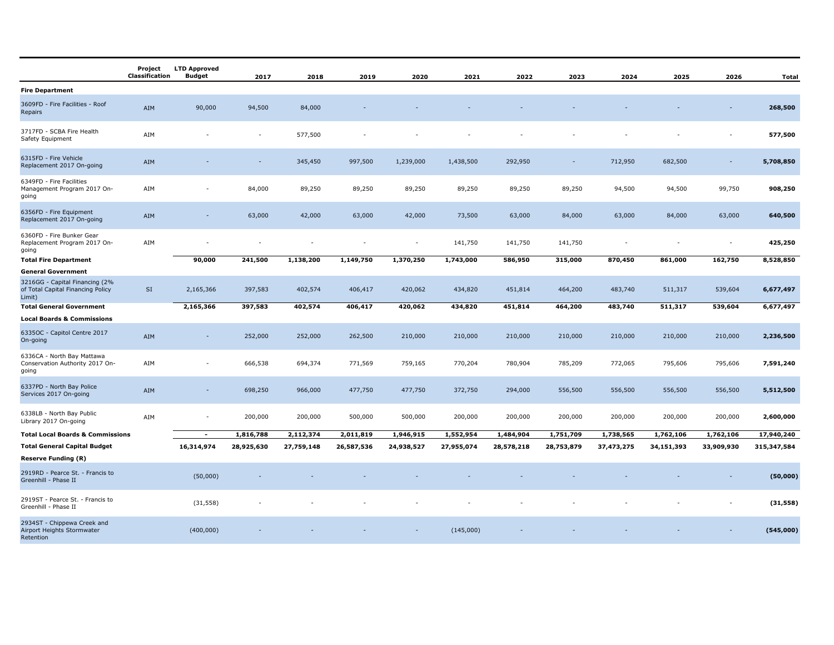|                                                                               | Project<br>Classification | <b>LTD Approved</b><br><b>Budget</b> | 2017       | 2018       | 2019       | 2020                     | 2021       | 2022       | 2023       | 2024       | 2025       | 2026                     | <b>Total</b> |
|-------------------------------------------------------------------------------|---------------------------|--------------------------------------|------------|------------|------------|--------------------------|------------|------------|------------|------------|------------|--------------------------|--------------|
| <b>Fire Department</b>                                                        |                           |                                      |            |            |            |                          |            |            |            |            |            |                          |              |
| 3609FD - Fire Facilities - Roof<br>Repairs                                    | AIM                       | 90,000                               | 94,500     | 84,000     |            |                          |            |            |            |            |            |                          | 268,500      |
| 3717FD - SCBA Fire Health<br>Safety Equipment                                 | AIM                       |                                      |            | 577,500    |            |                          |            |            |            |            |            |                          | 577,500      |
| 6315FD - Fire Vehicle<br>Replacement 2017 On-going                            | AIM                       |                                      |            | 345,450    | 997,500    | 1,239,000                | 1,438,500  | 292,950    |            | 712,950    | 682,500    |                          | 5,708,850    |
| 6349FD - Fire Facilities<br>Management Program 2017 On-<br>going              | AIM                       |                                      | 84,000     | 89,250     | 89,250     | 89,250                   | 89,250     | 89,250     | 89,250     | 94,500     | 94,500     | 99,750                   | 908,250      |
| 6356FD - Fire Equipment<br>Replacement 2017 On-going                          | AIM                       | ٠                                    | 63,000     | 42,000     | 63,000     | 42,000                   | 73,500     | 63,000     | 84,000     | 63,000     | 84,000     | 63,000                   | 640,500      |
| 6360FD - Fire Bunker Gear<br>Replacement Program 2017 On-<br>going            | AIM                       |                                      |            |            |            | $\overline{\phantom{a}}$ | 141,750    | 141,750    | 141,750    |            |            | $\overline{\phantom{a}}$ | 425,250      |
| <b>Total Fire Department</b>                                                  |                           | 90,000                               | 241,500    | 1,138,200  | 1,149,750  | 1,370,250                | 1,743,000  | 586,950    | 315,000    | 870,450    | 861,000    | 162,750                  | 8,528,850    |
| <b>General Government</b>                                                     |                           |                                      |            |            |            |                          |            |            |            |            |            |                          |              |
| 3216GG - Capital Financing (2%<br>of Total Capital Financing Policy<br>Limit) | $\mathsf{SI}\,$           | 2,165,366                            | 397,583    | 402,574    | 406,417    | 420,062                  | 434,820    | 451,814    | 464,200    | 483,740    | 511,317    | 539,604                  | 6,677,497    |
| <b>Total General Government</b>                                               |                           | 2,165,366                            | 397,583    | 402,574    | 406,417    | 420,062                  | 434,820    | 451,814    | 464,200    | 483,740    | 511,317    | 539,604                  | 6,677,497    |
| <b>Local Boards &amp; Commissions</b>                                         |                           |                                      |            |            |            |                          |            |            |            |            |            |                          |              |
| 63350C - Capitol Centre 2017<br>On-going                                      | AIM                       | ٠                                    | 252,000    | 252,000    | 262,500    | 210,000                  | 210,000    | 210,000    | 210,000    | 210,000    | 210,000    | 210,000                  | 2,236,500    |
| 6336CA - North Bay Mattawa<br>Conservation Authority 2017 On-<br>going        | AIM                       | $\overline{a}$                       | 666,538    | 694,374    | 771,569    | 759,165                  | 770,204    | 780,904    | 785,209    | 772,065    | 795,606    | 795,606                  | 7,591,240    |
| 6337PD - North Bay Police<br>Services 2017 On-going                           | AIM                       |                                      | 698,250    | 966,000    | 477,750    | 477,750                  | 372,750    | 294,000    | 556,500    | 556,500    | 556,500    | 556,500                  | 5,512,500    |
| 6338LB - North Bay Public<br>Library 2017 On-going                            | AIM                       | $\overline{a}$                       | 200,000    | 200,000    | 500,000    | 500,000                  | 200,000    | 200,000    | 200,000    | 200,000    | 200,000    | 200,000                  | 2,600,000    |
| <b>Total Local Boards &amp; Commissions</b>                                   |                           | $\sim$                               | 1,816,788  | 2,112,374  | 2,011,819  | 1,946,915                | 1,552,954  | 1,484,904  | 1,751,709  | 1,738,565  | 1,762,106  | 1,762,106                | 17,940,240   |
| <b>Total General Capital Budget</b>                                           |                           | 16,314,974                           | 28,925,630 | 27,759,148 | 26,587,536 | 24,938,527               | 27,955,074 | 28,578,218 | 28,753,879 | 37,473,275 | 34,151,393 | 33,909,930               | 315,347,584  |
| <b>Reserve Funding (R)</b>                                                    |                           |                                      |            |            |            |                          |            |            |            |            |            |                          |              |
| 2919RD - Pearce St. - Francis to<br>Greenhill - Phase II                      |                           | (50,000)                             |            |            |            |                          |            |            |            |            |            |                          | (50,000)     |
| 2919ST - Pearce St. - Francis to<br>Greenhill - Phase II                      |                           | (31, 558)                            |            |            |            |                          |            |            |            |            |            |                          | (31, 558)    |
| 2934ST - Chippewa Creek and<br>Airport Heights Stormwater<br>Retention        |                           | (400,000)                            |            |            |            |                          | (145,000)  |            |            |            |            |                          | (545,000)    |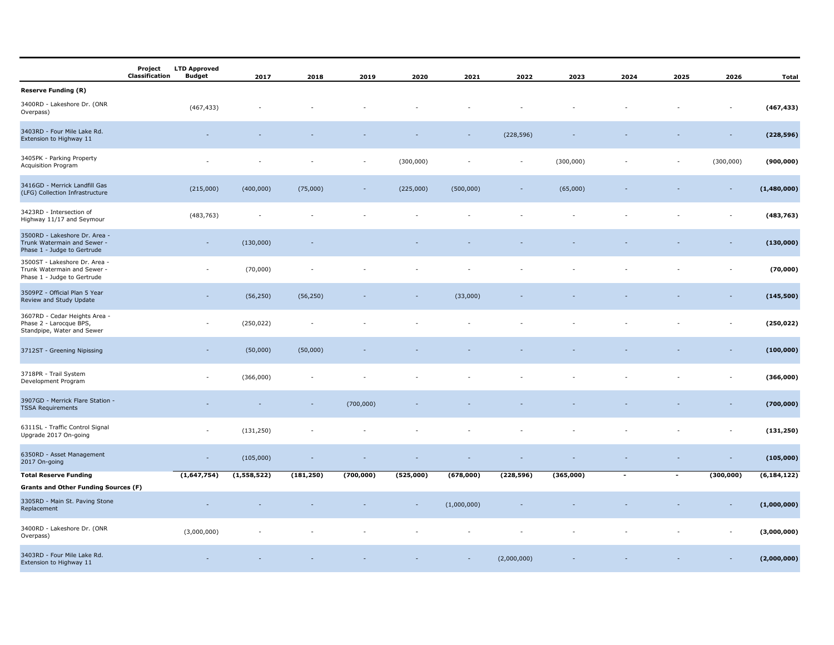|                                                                                              | <b>LTD Approved</b><br>Project<br>Classification<br>Budget | 2017        | 2018       | 2019      | 2020      | 2021        | 2022        | 2023      | 2024                     | 2025                     | 2026       | Total         |
|----------------------------------------------------------------------------------------------|------------------------------------------------------------|-------------|------------|-----------|-----------|-------------|-------------|-----------|--------------------------|--------------------------|------------|---------------|
| <b>Reserve Funding (R)</b>                                                                   |                                                            |             |            |           |           |             |             |           |                          |                          |            |               |
| 3400RD - Lakeshore Dr. (ONR<br>Overpass)                                                     | (467, 433)                                                 |             |            |           |           |             |             |           |                          |                          |            | (467, 433)    |
| 3403RD - Four Mile Lake Rd.<br>Extension to Highway 11                                       |                                                            |             |            |           |           |             | (228, 596)  |           |                          |                          |            | (228, 596)    |
| 3405PK - Parking Property<br>Acquisition Program                                             |                                                            |             |            |           | (300,000) |             |             | (300,000) |                          |                          | (300,000)  | (900, 000)    |
| 3416GD - Merrick Landfill Gas<br>(LFG) Collection Infrastructure                             | (215,000)                                                  | (400,000)   | (75,000)   |           | (225,000) | (500,000)   |             | (65,000)  |                          |                          |            | (1,480,000)   |
| 3423RD - Intersection of<br>Highway 11/17 and Seymour                                        | (483, 763)                                                 |             |            |           |           |             |             |           |                          |                          |            | (483, 763)    |
| 3500RD - Lakeshore Dr. Area -<br>Trunk Watermain and Sewer -<br>Phase 1 - Judge to Gertrude  | $\sim$                                                     | (130,000)   |            |           |           |             |             |           |                          |                          |            | (130,000)     |
| 3500ST - Lakeshore Dr. Area -<br>Trunk Watermain and Sewer -<br>Phase 1 - Judge to Gertrude  |                                                            | (70,000)    |            |           |           |             |             |           |                          |                          |            | (70,000)      |
| 3509PZ - Official Plan 5 Year<br>Review and Study Update                                     |                                                            | (56, 250)   | (56, 250)  |           |           | (33,000)    |             |           |                          |                          |            | (145,500)     |
| 3607RD - Cedar Heights Area -<br>Phase 2 - Larocque BPS,<br>Standpipe, Water and Sewer       |                                                            | (250, 022)  |            |           |           |             |             |           |                          |                          |            | (250, 022)    |
| 3712ST - Greening Nipissing                                                                  |                                                            | (50,000)    | (50,000)   |           |           |             |             |           |                          |                          |            | (100, 000)    |
| 3718PR - Trail System<br>Development Program                                                 |                                                            | (366,000)   |            |           |           |             |             |           |                          |                          |            | (366,000)     |
| 3907GD - Merrick Flare Station -<br><b>TSSA Requirements</b>                                 |                                                            |             |            | (700,000) |           |             |             |           |                          |                          |            | (700,000)     |
| 6311SL - Traffic Control Signal<br>Upgrade 2017 On-going                                     | $\sim$                                                     | (131, 250)  |            |           |           |             |             |           |                          |                          |            | (131, 250)    |
| 6350RD - Asset Management<br>2017 On-going                                                   | $\sim$                                                     | (105,000)   |            |           |           |             |             |           |                          |                          |            | (105,000)     |
| <b>Total Reserve Funding</b>                                                                 | (1,647,754)                                                | (1,558,522) | (181, 250) | (700,000) | (525,000) | (678,000)   | (228, 596)  | (365,000) | $\overline{\phantom{a}}$ | $\overline{\phantom{a}}$ | (300, 000) | (6, 184, 122) |
| <b>Grants and Other Funding Sources (F)</b><br>3305RD - Main St. Paving Stone<br>Replacement |                                                            |             |            |           |           | (1,000,000) |             |           |                          |                          |            | (1,000,000)   |
| 3400RD - Lakeshore Dr. (ONR<br>Overpass)                                                     | (3,000,000)                                                |             |            |           |           |             |             |           |                          |                          |            | (3,000,000)   |
| 3403RD - Four Mile Lake Rd.<br>Extension to Highway 11                                       |                                                            |             |            |           |           |             | (2,000,000) |           |                          |                          |            | (2,000,000)   |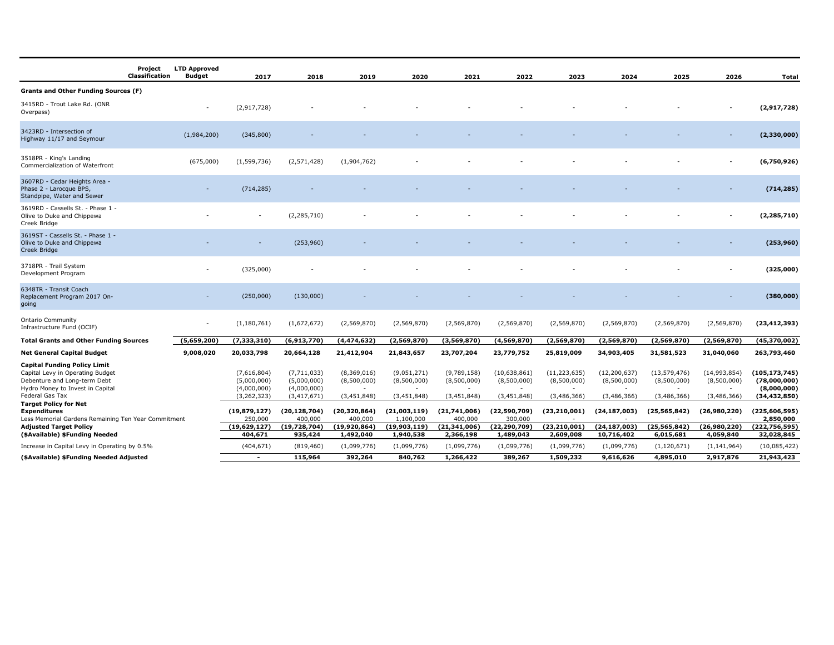|                                                                                                                                                                                                                                                                              | Project<br><b>Classification</b> | <b>LTD Approved</b><br><b>Budget</b> | 2017                                                                                | 2018                                                                                      | 2019                                                                   | 2020                                                                   | 2021                                                                 | 2022                                                                    | 2023                                                           | 2024                                                           | 2025                                                           | 2026                                                       | Total                                                                                            |
|------------------------------------------------------------------------------------------------------------------------------------------------------------------------------------------------------------------------------------------------------------------------------|----------------------------------|--------------------------------------|-------------------------------------------------------------------------------------|-------------------------------------------------------------------------------------------|------------------------------------------------------------------------|------------------------------------------------------------------------|----------------------------------------------------------------------|-------------------------------------------------------------------------|----------------------------------------------------------------|----------------------------------------------------------------|----------------------------------------------------------------|------------------------------------------------------------|--------------------------------------------------------------------------------------------------|
| Grants and Other Funding Sources (F)                                                                                                                                                                                                                                         |                                  |                                      |                                                                                     |                                                                                           |                                                                        |                                                                        |                                                                      |                                                                         |                                                                |                                                                |                                                                |                                                            |                                                                                                  |
| 3415RD - Trout Lake Rd. (ONR<br>Overpass)                                                                                                                                                                                                                                    |                                  |                                      | (2,917,728)                                                                         |                                                                                           |                                                                        |                                                                        |                                                                      |                                                                         |                                                                |                                                                |                                                                |                                                            | (2,917,728)                                                                                      |
| 3423RD - Intersection of<br>Highway 11/17 and Seymour                                                                                                                                                                                                                        |                                  | (1,984,200)                          | (345,800)                                                                           |                                                                                           |                                                                        |                                                                        |                                                                      |                                                                         |                                                                |                                                                |                                                                |                                                            | (2,330,000)                                                                                      |
| 3518PR - King's Landing<br>Commercialization of Waterfront                                                                                                                                                                                                                   |                                  | (675,000)                            | (1,599,736)                                                                         | (2,571,428)                                                                               | (1,904,762)                                                            |                                                                        |                                                                      |                                                                         |                                                                |                                                                |                                                                |                                                            | (6,750,926)                                                                                      |
| 3607RD - Cedar Heights Area -<br>Phase 2 - Larocque BPS,<br>Standpipe, Water and Sewer                                                                                                                                                                                       |                                  |                                      | (714, 285)                                                                          |                                                                                           |                                                                        |                                                                        |                                                                      |                                                                         |                                                                |                                                                |                                                                |                                                            | (714, 285)                                                                                       |
| 3619RD - Cassells St. - Phase 1 -<br>Olive to Duke and Chippewa<br>Creek Bridge                                                                                                                                                                                              |                                  |                                      |                                                                                     | (2, 285, 710)                                                                             |                                                                        |                                                                        |                                                                      |                                                                         |                                                                |                                                                |                                                                |                                                            | (2, 285, 710)                                                                                    |
| 3619ST - Cassells St. - Phase 1 -<br>Olive to Duke and Chippewa<br>Creek Bridge                                                                                                                                                                                              |                                  |                                      |                                                                                     | (253,960)                                                                                 |                                                                        |                                                                        |                                                                      |                                                                         |                                                                |                                                                |                                                                |                                                            | (253, 960)                                                                                       |
| 3718PR - Trail System<br>Development Program                                                                                                                                                                                                                                 |                                  |                                      | (325,000)                                                                           |                                                                                           |                                                                        |                                                                        |                                                                      |                                                                         |                                                                |                                                                |                                                                |                                                            | (325,000)                                                                                        |
| 6348TR - Transit Coach<br>Replacement Program 2017 On-<br>going                                                                                                                                                                                                              |                                  |                                      | (250,000)                                                                           | (130,000)                                                                                 |                                                                        |                                                                        |                                                                      |                                                                         |                                                                |                                                                |                                                                |                                                            | (380,000)                                                                                        |
| Ontario Community<br>Infrastructure Fund (OCIF)                                                                                                                                                                                                                              |                                  |                                      | (1, 180, 761)                                                                       | (1,672,672)                                                                               | (2,569,870)                                                            | (2,569,870)                                                            | (2,569,870)                                                          | (2,569,870)                                                             | (2,569,870)                                                    | (2, 569, 870)                                                  | (2,569,870)                                                    | (2,569,870)                                                | (23, 412, 393)                                                                                   |
| <b>Total Grants and Other Funding Sources</b>                                                                                                                                                                                                                                |                                  | (5,659,200)                          | (7, 333, 310)                                                                       | (6,913,770)                                                                               | (4,474,632)                                                            | (2, 569, 870)                                                          | (3,569,870)                                                          | (4, 569, 870)                                                           | (2, 569, 870)                                                  | (2,569,870)                                                    | (2,569,870)                                                    | (2,569,870)                                                | (45, 370, 002)                                                                                   |
| <b>Net General Capital Budget</b>                                                                                                                                                                                                                                            |                                  | 9,008,020                            | 20,033,798                                                                          | 20,664,128                                                                                | 21,412,904                                                             | 21,843,657                                                             | 23,707,204                                                           | 23,779,752                                                              | 25,819,009                                                     | 34,903,405                                                     | 31,581,523                                                     | 31,040,060                                                 | 263,793,460                                                                                      |
| <b>Capital Funding Policy Limit</b><br>Capital Levy in Operating Budget<br>Debenture and Long-term Debt<br>Hydro Money to Invest in Capital<br>Federal Gas Tax<br><b>Target Policy for Net</b><br><b>Expenditures</b><br>Less Memorial Gardens Remaining Ten Year Commitment |                                  |                                      | (7,616,804)<br>(5,000,000)<br>(4,000,000)<br>(3,262,323)<br>(19,879,127)<br>250,000 | (7, 711, 033)<br>(5,000,000)<br>(4,000,000)<br>(3, 417, 671)<br>(20, 128, 704)<br>400,000 | (8,369,016)<br>(8,500,000)<br>(3,451,848)<br>(20, 320, 864)<br>400,000 | (9,051,271)<br>(8,500,000)<br>(3,451,848)<br>(21,003,119)<br>1,100,000 | (9,789,158)<br>(8,500,000)<br>(3,451,848)<br>(21,741,006)<br>400,000 | (10, 638, 861)<br>(8,500,000)<br>(3,451,848)<br>(22,590,709)<br>300,000 | (11, 223, 635)<br>(8,500,000)<br>(3,486,366)<br>(23, 210, 001) | (12, 200, 637)<br>(8,500,000)<br>(3,486,366)<br>(24, 187, 003) | (13, 579, 476)<br>(8,500,000)<br>(3,486,366)<br>(25, 565, 842) | (14,993,854)<br>(8,500,000)<br>(3,486,366)<br>(26,980,220) | (105, 173, 745)<br>(78,000,000)<br>(8,000,000)<br>(34, 432, 850)<br>(225, 606, 595)<br>2,850,000 |
| <b>Adjusted Target Policy</b><br>(\$Available) \$Funding Needed                                                                                                                                                                                                              |                                  |                                      | (19,629,127)<br>404,671                                                             | (19, 728, 704)<br>935,424                                                                 | (19, 920, 864)<br>1,492,040                                            | (19,903,119)<br>1,940,538                                              | (21, 341, 006)<br>2,366,198                                          | (22, 290, 709)<br>1,489,043                                             | (23,210,001<br>2,609,008                                       | (24, 187, 003)<br>10,716,402                                   | (25, 565, 842)<br>6,015,681                                    | (26,980,220)<br>4,059,840                                  | (222, 756, 595)<br>32,028,845                                                                    |
| Increase in Capital Levy in Operating by 0.5%                                                                                                                                                                                                                                |                                  |                                      | (404, 671)                                                                          | (819, 460)                                                                                | (1,099,776)                                                            | (1,099,776)                                                            | (1,099,776)                                                          | (1,099,776)                                                             | (1,099,776)                                                    | (1,099,776)                                                    | (1,120,671)                                                    | (1, 141, 964)                                              | (10,085,422)                                                                                     |
| (\$Available) \$Funding Needed Adjusted                                                                                                                                                                                                                                      |                                  |                                      | $\overline{\phantom{a}}$                                                            | 115,964                                                                                   | 392,264                                                                | 840,762                                                                | 1,266,422                                                            | 389,267                                                                 | 1,509,232                                                      | 9,616,626                                                      | 4,895,010                                                      | 2,917,876                                                  | 21,943,423                                                                                       |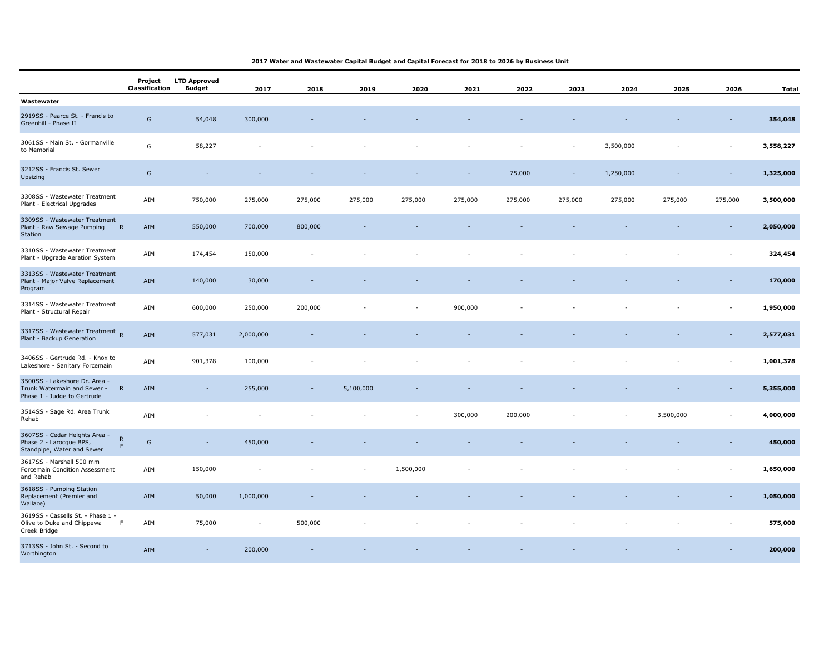## **2017 Water and Wastewater Capital Budget and Capital Forecast for 2018 to 2026 by Business Unit**

|                                                                                             | Project<br><b>Classification</b> | <b>LTD Approved</b><br><b>Budget</b> | 2017           | 2018    | 2019      | 2020      | 2021    | 2022    | 2023    | 2024      | 2025      | 2026                     | <b>Total</b> |
|---------------------------------------------------------------------------------------------|----------------------------------|--------------------------------------|----------------|---------|-----------|-----------|---------|---------|---------|-----------|-----------|--------------------------|--------------|
| Wastewater                                                                                  |                                  |                                      |                |         |           |           |         |         |         |           |           |                          |              |
| 2919SS - Pearce St. - Francis to<br>Greenhill - Phase II                                    | G                                | 54,048                               | 300,000        |         |           |           |         |         |         |           |           |                          | 354,048      |
| 3061SS - Main St. - Gormanville<br>to Memorial                                              | G                                | 58,227                               |                |         |           |           |         |         |         | 3,500,000 |           |                          | 3,558,227    |
| 3212SS - Francis St. Sewer<br>Upsizing                                                      | ${\mathsf G}$                    |                                      |                |         |           |           |         | 75,000  |         | 1,250,000 |           |                          | 1,325,000    |
| 3308SS - Wastewater Treatment<br>Plant - Electrical Upgrades                                | AIM                              | 750,000                              | 275,000        | 275,000 | 275,000   | 275,000   | 275,000 | 275,000 | 275,000 | 275,000   | 275,000   | 275,000                  | 3,500,000    |
| 3309SS - Wastewater Treatment<br>Plant - Raw Sewage Pumping<br>Station                      | $\mathsf{R}$<br>AIM              | 550,000                              | 700,000        | 800,000 |           |           |         |         |         |           |           |                          | 2,050,000    |
| 3310SS - Wastewater Treatment<br>Plant - Upgrade Aeration System                            | AIM                              | 174,454                              | 150,000        |         |           |           |         |         |         |           |           | ÷,                       | 324,454      |
| 3313SS - Wastewater Treatment<br>Plant - Major Valve Replacement<br>Program                 | AIM                              | 140,000                              | 30,000         |         |           |           |         |         |         |           |           |                          | 170,000      |
| 3314SS - Wastewater Treatment<br>Plant - Structural Repair                                  | AIM                              | 600,000                              | 250,000        | 200,000 |           |           | 900,000 |         |         |           |           | $\overline{\phantom{0}}$ | 1,950,000    |
| 3317SS - Wastewater Treatment R<br>Plant - Backup Generation                                | AIM                              | 577,031                              | 2,000,000      |         |           |           |         |         |         |           |           |                          | 2,577,031    |
| 3406SS - Gertrude Rd. - Knox to<br>Lakeshore - Sanitary Forcemain                           | AIM                              | 901,378                              | 100,000        |         |           |           |         |         |         |           |           |                          | 1,001,378    |
| 3500SS - Lakeshore Dr. Area -<br>Trunk Watermain and Sewer -<br>Phase 1 - Judge to Gertrude | AIM<br>$\mathsf{R}$              | $\sim$                               | 255,000        |         | 5,100,000 |           |         |         |         |           |           |                          | 5,355,000    |
| 3514SS - Sage Rd. Area Trunk<br>Rehab                                                       | AIM                              |                                      |                |         |           |           | 300,000 | 200,000 |         |           | 3,500,000 | $\overline{\phantom{0}}$ | 4,000,000    |
| 3607SS - Cedar Heights Area -<br>Phase 2 - Larocque BPS,<br>Standpipe, Water and Sewer      | ${\sf R}$<br>G<br>F              |                                      | 450,000        |         |           |           |         |         |         |           |           |                          | 450,000      |
| 3617SS - Marshall 500 mm<br>Forcemain Condition Assessment<br>and Rehab                     | AIM                              | 150,000                              |                |         |           | 1,500,000 |         |         |         |           |           |                          | 1,650,000    |
| 3618SS - Pumping Station<br>Replacement (Premier and<br>Wallace)                            | AIM                              | 50,000                               | 1,000,000      |         |           |           |         |         |         |           |           |                          | 1,050,000    |
| 3619SS - Cassells St. - Phase 1 -<br>Olive to Duke and Chippewa<br>Creek Bridge             | AIM<br>F                         | 75,000                               | $\overline{a}$ | 500,000 |           |           |         |         |         |           |           |                          | 575,000      |
| 3713SS - John St. - Second to<br>Worthington                                                | AIM                              | $\sim$                               | 200,000        |         |           |           |         |         |         |           |           |                          | 200,000      |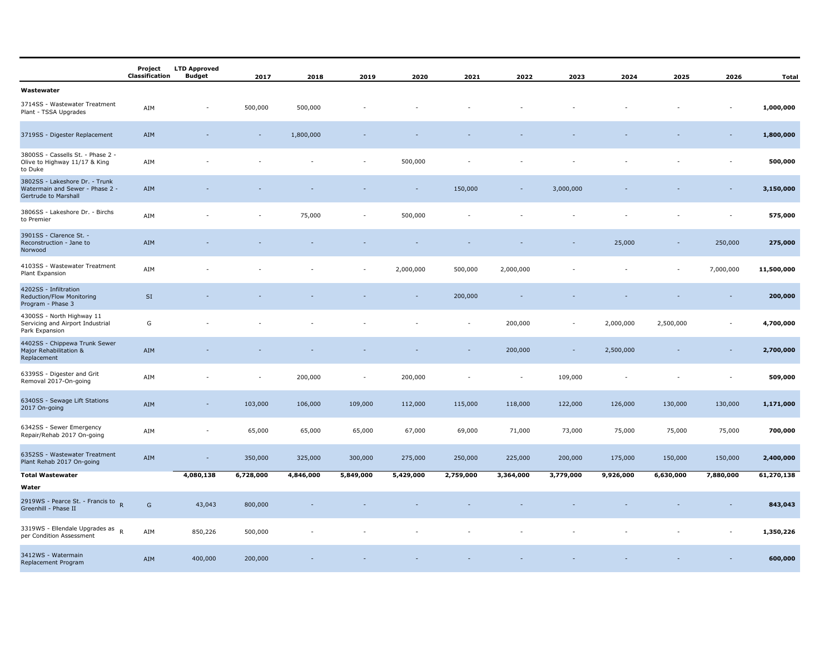|                                                                                           | Project<br>Classification | <b>LTD Approved</b><br>Budget | 2017      | 2018      | 2019      | 2020      | 2021      | 2022                     | 2023                     | 2024      | 2025      | 2026      | Total      |
|-------------------------------------------------------------------------------------------|---------------------------|-------------------------------|-----------|-----------|-----------|-----------|-----------|--------------------------|--------------------------|-----------|-----------|-----------|------------|
| Wastewater                                                                                |                           |                               |           |           |           |           |           |                          |                          |           |           |           |            |
| 3714SS - Wastewater Treatment<br>Plant - TSSA Upgrades                                    | AIM                       |                               | 500,000   | 500,000   |           |           |           |                          |                          |           |           |           | 1,000,000  |
| 3719SS - Digester Replacement                                                             | AIM                       |                               |           | 1,800,000 |           |           |           |                          |                          |           |           |           | 1,800,000  |
| 3800SS - Cassells St. - Phase 2 -<br>Olive to Highway 11/17 & King<br>to Duke             | AIM                       |                               |           |           |           | 500,000   |           |                          |                          |           |           |           | 500,000    |
| 3802SS - Lakeshore Dr. - Trunk<br>Watermain and Sewer - Phase 2 -<br>Gertrude to Marshall | AIM                       |                               |           |           |           |           | 150,000   |                          | 3,000,000                |           |           |           | 3,150,000  |
| 3806SS - Lakeshore Dr. - Birchs<br>to Premier                                             | AIM                       |                               |           | 75,000    | ÷,        | 500,000   |           |                          |                          |           |           |           | 575,000    |
| 3901SS - Clarence St. -<br>Reconstruction - Jane to<br>Norwood                            | AIM                       |                               |           |           |           |           |           |                          |                          | 25,000    |           | 250,000   | 275,000    |
| 4103SS - Wastewater Treatment<br>Plant Expansion                                          | AIM                       |                               |           |           |           | 2,000,000 | 500,000   | 2,000,000                |                          |           |           | 7,000,000 | 11,500,000 |
| 4202SS - Infiltration<br>Reduction/Flow Monitoring<br>Program - Phase 3                   | $\mathsf{SI}\xspace$      |                               |           |           |           |           | 200,000   |                          |                          |           |           |           | 200,000    |
| 4300SS - North Highway 11<br>Servicing and Airport Industrial<br>Park Expansion           | G                         |                               |           |           |           |           |           | 200,000                  | $\overline{\phantom{a}}$ | 2,000,000 | 2,500,000 |           | 4,700,000  |
| 4402SS - Chippewa Trunk Sewer<br>Major Rehabilitation &<br>Replacement                    | AIM                       |                               |           |           |           |           |           | 200,000                  | $\overline{\phantom{a}}$ | 2,500,000 |           |           | 2,700,000  |
| 6339SS - Digester and Grit<br>Removal 2017-On-going                                       | AIM                       |                               |           | 200,000   | ٠         | 200,000   |           | $\overline{\phantom{a}}$ | 109,000                  |           |           |           | 509,000    |
| 6340SS - Sewage Lift Stations<br>2017 On-going                                            | AIM                       |                               | 103,000   | 106,000   | 109,000   | 112,000   | 115,000   | 118,000                  | 122,000                  | 126,000   | 130,000   | 130,000   | 1,171,000  |
| 6342SS - Sewer Emergency<br>Repair/Rehab 2017 On-going                                    | AIM                       | ٠                             | 65,000    | 65,000    | 65,000    | 67,000    | 69,000    | 71,000                   | 73,000                   | 75,000    | 75,000    | 75,000    | 700,000    |
| 6352SS - Wastewater Treatment<br>Plant Rehab 2017 On-going                                | AIM                       | $\sim$                        | 350,000   | 325,000   | 300,000   | 275,000   | 250,000   | 225,000                  | 200,000                  | 175,000   | 150,000   | 150,000   | 2,400,000  |
| <b>Total Wastewater</b>                                                                   |                           | 4,080,138                     | 6,728,000 | 4,846,000 | 5,849,000 | 5,429,000 | 2,759,000 | 3,364,000                | 3,779,000                | 9,926,000 | 6,630,000 | 7,880,000 | 61,270,138 |
| Water<br>2919WS - Pearce St. - Francis to $R$<br>Greenhill - Phase II                     | G                         | 43,043                        | 800,000   |           |           |           |           |                          |                          |           |           |           | 843,043    |
| 3319WS - Ellendale Upgrades as<br>per Condition Assessment                                | AIM                       | 850,226                       | 500,000   |           |           |           |           |                          |                          |           |           |           | 1,350,226  |
| 3412WS - Watermain<br>Replacement Program                                                 | AIM                       | 400,000                       | 200,000   |           |           |           |           |                          |                          |           |           |           | 600,000    |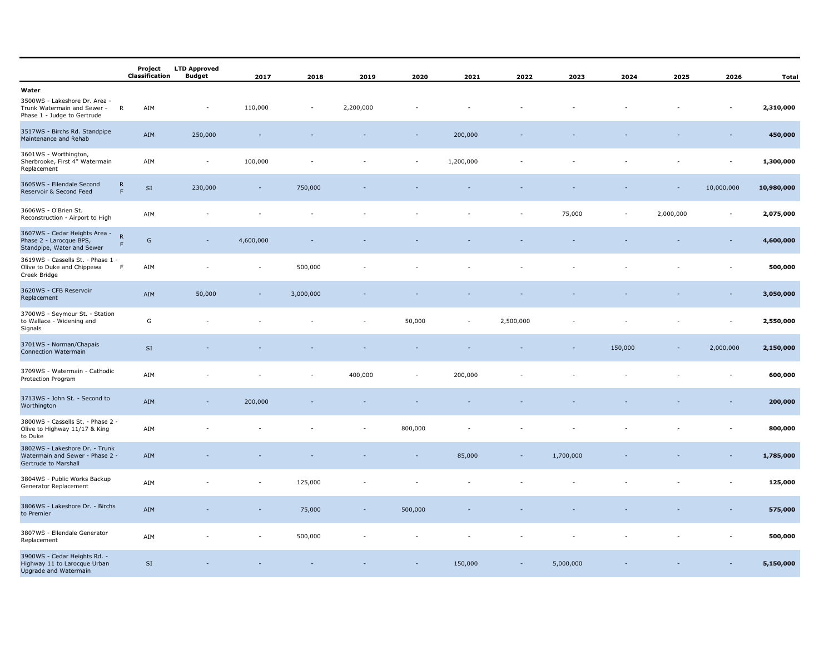|                                                                                                      |                   | Project<br>Classification | <b>LTD Approved</b><br><b>Budget</b> | 2017                         | 2018           | 2019      | 2020    | 2021      | 2022      | 2023      | 2024    | 2025          | 2026                     | <b>Total</b> |
|------------------------------------------------------------------------------------------------------|-------------------|---------------------------|--------------------------------------|------------------------------|----------------|-----------|---------|-----------|-----------|-----------|---------|---------------|--------------------------|--------------|
| Water<br>3500WS - Lakeshore Dr. Area -<br>Trunk Watermain and Sewer -<br>Phase 1 - Judge to Gertrude | $\mathsf{R}$      | AIM                       | $\overline{\phantom{a}}$             | 110,000                      | $\overline{a}$ | 2,200,000 |         |           |           |           |         |               |                          | 2,310,000    |
| 3517WS - Birchs Rd. Standpipe<br>Maintenance and Rehab                                               |                   | AIM                       | 250,000                              |                              |                |           |         | 200,000   |           |           |         |               |                          | 450,000      |
| 3601WS - Worthington,<br>Sherbrooke, First 4" Watermain<br>Replacement                               |                   | AIM                       | $\overline{\phantom{a}}$             | 100,000                      |                |           | ٠       | 1,200,000 |           |           |         |               | $\overline{a}$           | 1,300,000    |
| 3605WS - Ellendale Second<br>Reservoir & Second Feed                                                 | ${\sf R}$<br>F    | $\mathsf{SI}\xspace$      | 230,000                              | $\sim$                       | 750,000        |           |         |           |           |           |         | $\mathcal{L}$ | 10,000,000               | 10,980,000   |
| 3606WS - O'Brien St.<br>Reconstruction - Airport to High                                             |                   | AIM                       |                                      |                              |                |           |         |           |           | 75,000    | ÷       | 2,000,000     | $\overline{\phantom{a}}$ | 2,075,000    |
| 3607WS - Cedar Heights Area -<br>Phase 2 - Larocque BPS,<br>Standpipe, Water and Sewer               | $\mathsf{R}$<br>F | G                         | $\overline{\phantom{a}}$             | 4,600,000                    |                |           |         |           |           |           |         |               |                          | 4,600,000    |
| 3619WS - Cassells St. - Phase 1 -<br>Olive to Duke and Chippewa<br>Creek Bridge                      | F                 | AIM                       |                                      | $\qquad \qquad \blacksquare$ | 500,000        |           |         |           |           |           |         |               |                          | 500,000      |
| 3620WS - CFB Reservoir<br>Replacement                                                                |                   | AIM                       | 50,000                               |                              | 3,000,000      |           |         |           |           |           |         |               |                          | 3,050,000    |
| 3700WS - Seymour St. - Station<br>to Wallace - Widening and<br>Signals                               |                   | G                         |                                      |                              |                |           | 50,000  |           | 2,500,000 |           |         |               |                          | 2,550,000    |
| 3701WS - Norman/Chapais<br>Connection Watermain                                                      |                   | $\mathsf{SI}\xspace$      |                                      |                              |                |           |         |           |           |           | 150,000 |               | 2,000,000                | 2,150,000    |
| 3709WS - Watermain - Cathodic<br>Protection Program                                                  |                   | AIM                       |                                      |                              |                | 400,000   |         | 200,000   |           |           |         |               |                          | 600,000      |
| 3713WS - John St. - Second to<br>Worthington                                                         |                   | AIM                       |                                      | 200,000                      |                |           |         |           |           |           |         |               |                          | 200,000      |
| 3800WS - Cassells St. - Phase 2 -<br>Olive to Highway 11/17 & King<br>to Duke                        |                   | AIM                       |                                      |                              |                |           | 800,000 |           |           |           |         |               |                          | 800,000      |
| 3802WS - Lakeshore Dr. - Trunk<br>Watermain and Sewer - Phase 2 -<br>Gertrude to Marshall            |                   | AIM                       |                                      |                              |                |           |         | 85,000    |           | 1,700,000 |         |               |                          | 1,785,000    |
| 3804WS - Public Works Backup<br>Generator Replacement                                                |                   | AIM                       |                                      |                              | 125,000        |           |         |           |           |           |         |               |                          | 125,000      |
| 3806WS - Lakeshore Dr. - Birchs<br>to Premier                                                        |                   | AIM                       |                                      |                              | 75,000         |           | 500,000 |           |           |           |         |               |                          | 575,000      |
| 3807WS - Ellendale Generator<br>Replacement                                                          |                   | AIM                       |                                      |                              | 500,000        |           |         |           |           |           |         |               |                          | 500,000      |
| 3900WS - Cedar Heights Rd. -<br>Highway 11 to Larocque Urban<br>Upgrade and Watermain                |                   | SI                        |                                      |                              |                |           |         | 150,000   |           | 5,000,000 |         |               |                          | 5,150,000    |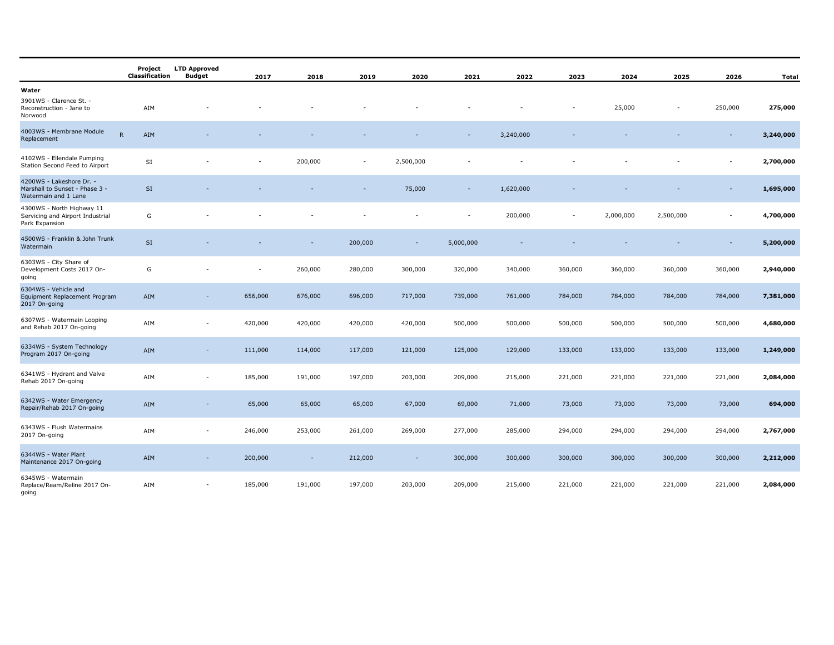|                                                                                    | Project<br>Classification | <b>LTD Approved</b><br><b>Budget</b> | 2017    | 2018                     | 2019    | 2020                     | 2021                     | 2022      | 2023                     | 2024      | 2025      | 2026                     | <b>Total</b> |
|------------------------------------------------------------------------------------|---------------------------|--------------------------------------|---------|--------------------------|---------|--------------------------|--------------------------|-----------|--------------------------|-----------|-----------|--------------------------|--------------|
| Water                                                                              |                           |                                      |         |                          |         |                          |                          |           |                          |           |           |                          |              |
| 3901WS - Clarence St. -<br>Reconstruction - Jane to<br>Norwood                     | AIM                       |                                      |         |                          |         |                          |                          |           |                          | 25,000    |           | 250,000                  | 275,000      |
| 4003WS - Membrane Module<br>Replacement                                            | $\mathsf{R}$<br>AIM       |                                      |         |                          |         |                          | $\overline{\phantom{a}}$ | 3,240,000 |                          |           |           | $\overline{\phantom{a}}$ | 3,240,000    |
| 4102WS - Ellendale Pumping<br>Station Second Feed to Airport                       | SI                        |                                      |         | 200,000                  | ٠       | 2,500,000                |                          |           |                          |           |           |                          | 2,700,000    |
| 4200WS - Lakeshore Dr. -<br>Marshall to Sunset - Phase 3 -<br>Watermain and 1 Lane | SI                        |                                      |         |                          |         | 75,000                   |                          | 1,620,000 |                          |           |           |                          | 1,695,000    |
| 4300WS - North Highway 11<br>Servicing and Airport Industrial<br>Park Expansion    | G                         |                                      |         |                          |         |                          | ٠                        | 200,000   | $\overline{\phantom{a}}$ | 2,000,000 | 2,500,000 | $\overline{\phantom{a}}$ | 4,700,000    |
| 4500WS - Franklin & John Trunk<br>Watermain                                        | $\mathsf{SI}$             |                                      |         |                          | 200,000 | $\overline{\phantom{a}}$ | 5,000,000                |           |                          |           |           |                          | 5,200,000    |
| 6303WS - City Share of<br>Development Costs 2017 On-<br>going                      | G                         |                                      | ۰       | 260,000                  | 280,000 | 300,000                  | 320,000                  | 340,000   | 360,000                  | 360,000   | 360,000   | 360,000                  | 2,940,000    |
| 6304WS - Vehicle and<br>Equipment Replacement Program<br>2017 On-going             | AIM                       |                                      | 656,000 | 676,000                  | 696,000 | 717,000                  | 739,000                  | 761,000   | 784,000                  | 784,000   | 784,000   | 784,000                  | 7,381,000    |
| 6307WS - Watermain Looping<br>and Rehab 2017 On-going                              | AIM                       | $\overline{\phantom{0}}$             | 420,000 | 420,000                  | 420,000 | 420,000                  | 500,000                  | 500,000   | 500,000                  | 500,000   | 500,000   | 500,000                  | 4,680,000    |
| 6334WS - System Technology<br>Program 2017 On-going                                | AIM                       |                                      | 111,000 | 114,000                  | 117,000 | 121,000                  | 125,000                  | 129,000   | 133,000                  | 133,000   | 133,000   | 133,000                  | 1,249,000    |
| 6341WS - Hydrant and Valve<br>Rehab 2017 On-going                                  | AIM                       |                                      | 185,000 | 191,000                  | 197,000 | 203,000                  | 209,000                  | 215,000   | 221,000                  | 221,000   | 221,000   | 221,000                  | 2,084,000    |
| 6342WS - Water Emergency<br>Repair/Rehab 2017 On-going                             | AIM                       |                                      | 65,000  | 65,000                   | 65,000  | 67,000                   | 69,000                   | 71,000    | 73,000                   | 73,000    | 73,000    | 73,000                   | 694,000      |
| 6343WS - Flush Watermains<br>2017 On-going                                         | AIM                       | ۰                                    | 246,000 | 253,000                  | 261,000 | 269,000                  | 277,000                  | 285,000   | 294,000                  | 294,000   | 294,000   | 294,000                  | 2,767,000    |
| 6344WS - Water Plant<br>Maintenance 2017 On-going                                  | AIM                       |                                      | 200,000 | $\overline{\phantom{a}}$ | 212,000 | $\overline{\phantom{a}}$ | 300,000                  | 300,000   | 300,000                  | 300,000   | 300,000   | 300,000                  | 2,212,000    |
| 6345WS - Watermain<br>Replace/Ream/Reline 2017 On-<br>going                        | AIM                       |                                      | 185,000 | 191,000                  | 197,000 | 203,000                  | 209,000                  | 215,000   | 221,000                  | 221,000   | 221,000   | 221,000                  | 2,084,000    |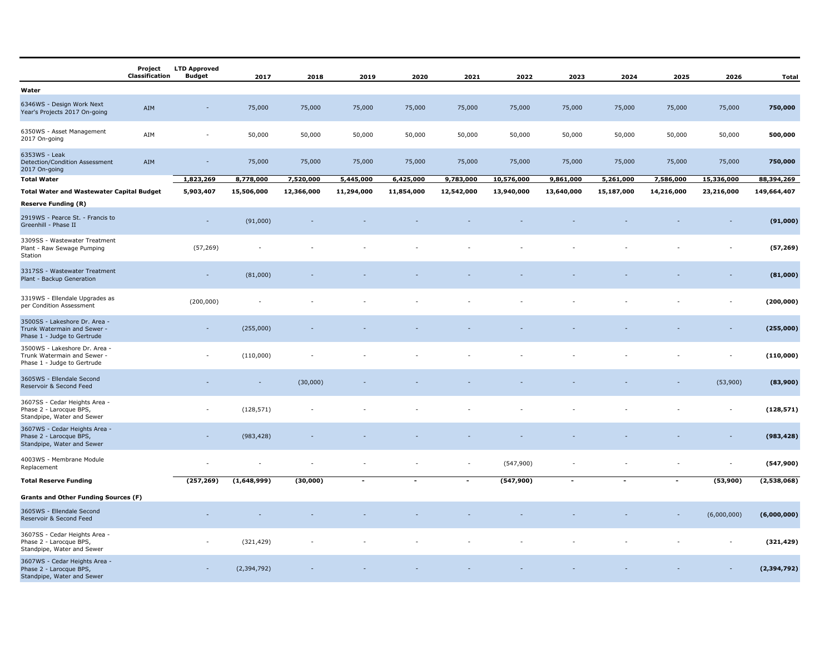|                                                                                             | Project<br>Classification | <b>LTD Approved</b><br><b>Budget</b> | 2017                     | 2018       | 2019                     | 2020                     | 2021                     | 2022       | 2023                     | 2024       | 2025           | 2026        | <b>Total</b>  |
|---------------------------------------------------------------------------------------------|---------------------------|--------------------------------------|--------------------------|------------|--------------------------|--------------------------|--------------------------|------------|--------------------------|------------|----------------|-------------|---------------|
| Water                                                                                       |                           |                                      |                          |            |                          |                          |                          |            |                          |            |                |             |               |
| 6346WS - Design Work Next<br>Year's Projects 2017 On-going                                  | AIM                       |                                      | 75,000                   | 75,000     | 75,000                   | 75,000                   | 75,000                   | 75,000     | 75,000                   | 75,000     | 75,000         | 75,000      | 750,000       |
| 6350WS - Asset Management<br>2017 On-going                                                  | AIM                       |                                      | 50,000                   | 50,000     | 50,000                   | 50,000                   | 50,000                   | 50,000     | 50,000                   | 50,000     | 50,000         | 50,000      | 500,000       |
| 6353WS - Leak<br>Detection/Condition Assessment<br>2017 On-going                            | AIM                       | $\overline{\phantom{a}}$             | 75,000                   | 75,000     | 75,000                   | 75,000                   | 75,000                   | 75,000     | 75,000                   | 75,000     | 75,000         | 75,000      | 750,000       |
| <b>Total Water</b>                                                                          |                           | 1,823,269                            | 8,778,000                | 7,520,000  | 5,445,000                | 6,425,000                | 9,783,000                | 10,576,000 | 9,861,000                | 5,261,000  | 7,586,000      | 15,336,000  | 88,394,269    |
| <b>Total Water and Wastewater Capital Budget</b>                                            |                           | 5,903,407                            | 15,506,000               | 12,366,000 | 11,294,000               | 11,854,000               | 12,542,000               | 13,940,000 | 13,640,000               | 15,187,000 | 14,216,000     | 23,216,000  | 149,664,407   |
| <b>Reserve Funding (R)</b>                                                                  |                           |                                      |                          |            |                          |                          |                          |            |                          |            |                |             |               |
| 2919WS - Pearce St. - Francis to<br>Greenhill - Phase II                                    |                           | $\sim$                               | (91,000)                 |            |                          |                          |                          |            |                          |            |                |             | (91,000)      |
| 3309SS - Wastewater Treatment<br>Plant - Raw Sewage Pumping<br>Station                      |                           | (57, 269)                            |                          |            |                          |                          |                          |            |                          |            |                |             | (57, 269)     |
| 3317SS - Wastewater Treatment<br>Plant - Backup Generation                                  |                           | $\mathcal{L}_{\mathcal{A}}$          | (81,000)                 |            |                          |                          |                          |            |                          |            |                |             | (81,000)      |
| 3319WS - Ellendale Upgrades as<br>per Condition Assessment                                  |                           | (200, 000)                           |                          |            |                          |                          |                          |            |                          |            |                |             | (200, 000)    |
| 3500SS - Lakeshore Dr. Area -<br>Trunk Watermain and Sewer -<br>Phase 1 - Judge to Gertrude |                           |                                      | (255,000)                |            |                          |                          |                          |            |                          |            |                |             | (255,000)     |
| 3500WS - Lakeshore Dr. Area -<br>Trunk Watermain and Sewer -<br>Phase 1 - Judge to Gertrude |                           | $\sim$                               | (110,000)                |            |                          |                          |                          |            |                          |            |                |             | (110,000)     |
| 3605WS - Ellendale Second<br>Reservoir & Second Feed                                        |                           |                                      | $\overline{\phantom{a}}$ | (30,000)   |                          |                          |                          |            |                          |            |                | (53,900)    | (83,900)      |
| 3607SS - Cedar Heights Area -<br>Phase 2 - Larocque BPS,<br>Standpipe, Water and Sewer      |                           |                                      | (128, 571)               |            |                          |                          |                          |            |                          |            |                |             | (128, 571)    |
| 3607WS - Cedar Heights Area -<br>Phase 2 - Larocque BPS,<br>Standpipe, Water and Sewer      |                           | $\sim$                               | (983, 428)               |            |                          |                          |                          |            |                          |            |                |             | (983, 428)    |
| 4003WS - Membrane Module<br>Replacement                                                     |                           |                                      |                          |            |                          |                          | $\overline{\phantom{a}}$ | (547, 900) |                          |            |                | ٠           | (547, 900)    |
| <b>Total Reserve Funding</b>                                                                |                           | (257, 269)                           | (1,648,999)              | (30,000)   | $\overline{\phantom{a}}$ | $\overline{\phantom{a}}$ | $\overline{\phantom{a}}$ | (547,900)  | $\overline{\phantom{a}}$ | $\sim$     | $\blacksquare$ | (53,900)    | (2,538,068)   |
| <b>Grants and Other Funding Sources (F)</b>                                                 |                           |                                      |                          |            |                          |                          |                          |            |                          |            |                |             |               |
| 3605WS - Ellendale Second<br>Reservoir & Second Feed                                        |                           |                                      |                          |            |                          |                          |                          |            |                          |            |                | (6,000,000) | (6,000,000)   |
| 3607SS - Cedar Heights Area -<br>Phase 2 - Larocque BPS,<br>Standpipe, Water and Sewer      |                           |                                      | (321, 429)               |            |                          |                          |                          |            |                          |            |                |             | (321, 429)    |
| 3607WS - Cedar Heights Area -<br>Phase 2 - Larocque BPS,<br>Standpipe, Water and Sewer      |                           |                                      | (2, 394, 792)            |            |                          |                          |                          |            |                          |            |                |             | (2, 394, 792) |